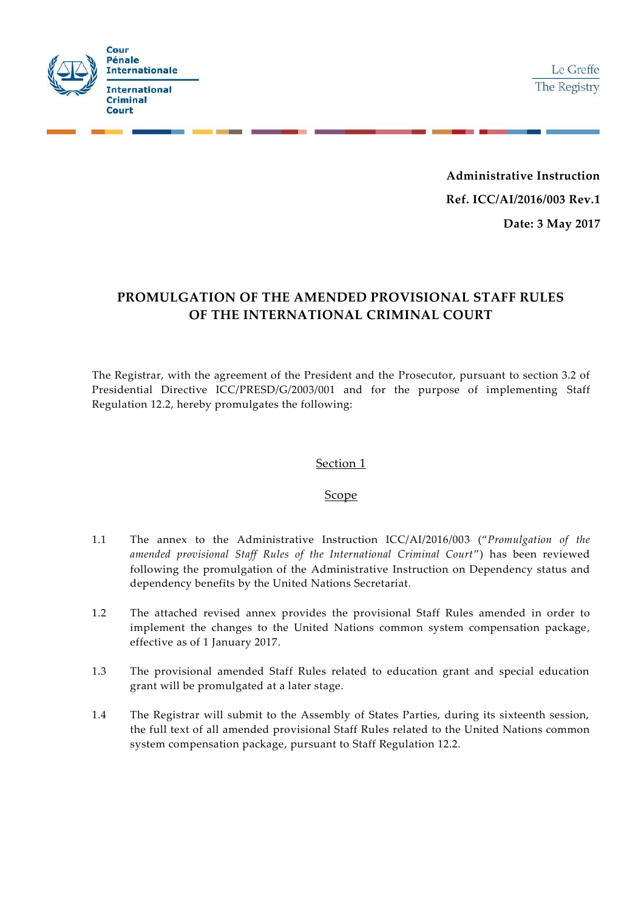

**Administrative Instruction Ref. ICC/AI/2016/003 Rev.1 Date: 3 May 2017**

# **PROMULGATION OF THE AMENDED PROVISIONAL STAFF RULES OF THE INTERNATIONAL CRIMINAL COURT**

The Registrar, with the agreement of the President and the Prosecutor, pursuant to section 3.2 of Presidential Directive ICC/PRESD/G/2003/001 and for the purpose of implementing Staff Regulation 12.2, hereby promulgates the following:

#### Section 1

#### **Scope**

- 1.1 The annex to the Administrative Instruction ICC/AI/2016/003 ("*Promulgation of the amended provisional Staff Rules of the International Criminal Court*") has been reviewed following the promulgation of the Administrative Instruction on Dependency status and dependency benefits by the United Nations Secretariat.
- 1.2 The attached revised annex provides the provisional Staff Rules amended in order to implement the changes to the United Nations common system compensation package, effective as of 1 January 2017.
- 1.3 The provisional amended Staff Rules related to education grant and special education grant will be promulgated at a later stage.
- 1.4 The Registrar will submit to the Assembly of States Parties, during its sixteenth session, the full text of all amended provisional Staff Rules related to the United Nations common system compensation package, pursuant to Staff Regulation 12.2.